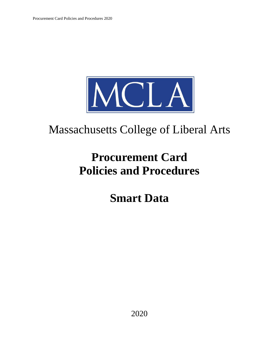

# Massachusetts College of Liberal Arts

# **Procurement Card Policies and Procedures**

**Smart Data**

2020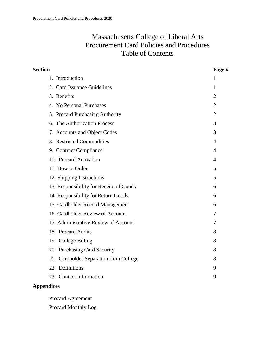## Massachusetts College of Liberal Arts Procurement Card Policies and Procedures Table of Contents

| <b>Section</b>                          | Page #         |
|-----------------------------------------|----------------|
| 1. Introduction                         | 1              |
| 2. Card Issuance Guidelines             | 1              |
| 3. Benefits                             | $\overline{2}$ |
| 4. No Personal Purchases                | $\overline{2}$ |
| 5. Procard Purchasing Authority         | $\overline{2}$ |
| 6. The Authorization Process            | 3              |
| 7. Accounts and Object Codes            | 3              |
| 8. Restricted Commodities               | $\overline{4}$ |
| 9. Contract Compliance                  | 4              |
| 10. Procard Activation                  | 4              |
| 11. How to Order                        | 5              |
| 12. Shipping Instructions               | 5              |
| 13. Responsibility for Receipt of Goods | 6              |
| 14. Responsibility for Return Goods     | 6              |
| 15. Cardholder Record Management        | 6              |
| 16. Cardholder Review of Account        | 7              |
| 17. Administrative Review of Account    | 7              |
| 18. Procard Audits                      | 8              |
| 19. College Billing                     | 8              |
| 20. Purchasing Card Security            | 8              |
| 21. Cardholder Separation from College  | 8              |
| 22. Definitions                         | 9              |
| 23. Contact Information                 | 9              |
|                                         |                |

### **Appendices**

Procard Agreement Procard Monthly Log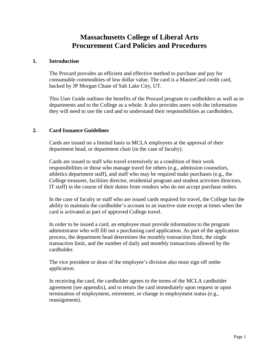## **Massachusetts College of Liberal Arts Procurement Card Policies and Procedures**

#### <span id="page-2-0"></span>**1. Introduction**

The Procard provides an efficient and effective method to purchase and pay for consumable commodities of low dollar value. The card is a MasterCard credit card, backed by JP Morgan Chase of Salt Lake City, UT.

This User Guide outlines the benefits of the Procard program to cardholders as well as to departments and to the College as a whole. It also provides users with the information they will need to use the card and to understand their responsibilities as cardholders.

#### <span id="page-2-1"></span>**2. Card Issuance Guidelines**

Cards are issued on a limited basis to MCLA employees at the approval of their department head, or department chair (in the case of faculty).

Cards are issued to staff who travel extensively as a condition of their work responsibilities or those who manage travel for others (e.g., admission counselors, athletics department staff), and staff who may be required make purchases (e.g., the College treasurer, facilities director, residential program and student activities directors, IT staff) in the course of their duties from vendors who do not accept purchase orders.

In the case of faculty or staff who are issued cards required for travel, the College has the ability to maintain the cardholder's account in an inactive state except at times when the card is activated as part of approved College travel.

In order to be issued a card, an employee must provide information to the program administrator who will fill out a purchasing card application. As part of the application process, the department head determines the monthly transaction limit, the single transaction limit, and the number of daily and monthly transactions allowed by the cardholder.

The vice president or dean of the employee's division also must sign off onthe application.

In receiving the card, the cardholder agrees to the terms of the MCLA cardholder agreement (see appendix), and to return the card immediately upon request or upon termination of employment, retirement, or change in employment status (e.g., reassignment).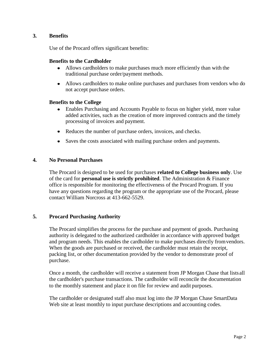#### <span id="page-3-0"></span>**3. Benefits**

Use of the Procard offers significant benefits:

#### **Benefits to the Cardholder**

- Allows cardholders to make purchases much more efficiently than with the traditional purchase order/payment methods.
- Allows cardholders to make online purchases and purchases from vendors who do not accept purchase orders.

#### **Benefits to the College**

- Enables Purchasing and Accounts Payable to focus on higher yield, more value added activities, such as the creation of more improved contracts and the timely processing of invoices and payment.
- Reduces the number of purchase orders, invoices, and checks.
- Saves the costs associated with mailing purchase orders and payments.

#### <span id="page-3-1"></span>**4. No Personal Purchases**

The Procard is designed to be used for purchases **related to College business only**. Use of the card for **personal use is strictly prohibited**. The Administration & Finance office is responsible for monitoring the effectiveness of the Procard Program. If you have any questions regarding the program or the appropriate use of the Procard, please contact William Norcross at 413-662-5529.

#### <span id="page-3-2"></span>**5. Procard Purchasing Authority**

The Procard simplifies the process for the purchase and payment of goods. Purchasing authority is delegated to the authorized cardholder in accordance with approved budget and program needs. This enables the cardholder to make purchases directly fromvendors. When the goods are purchased or received, the cardholder must retain the receipt, packing list, or other documentation provided by the vendor to demonstrate proof of purchase.

Once a month, the cardholder will receive a statement from JP Morgan Chase that lists all the cardholder's purchase transactions. The cardholder will reconcile the documentation to the monthly statement and place it on file for review and audit purposes.

The cardholder or designated staff also must log into the JP Morgan Chase SmartData Web site at least monthly to input purchase descriptions and accounting codes.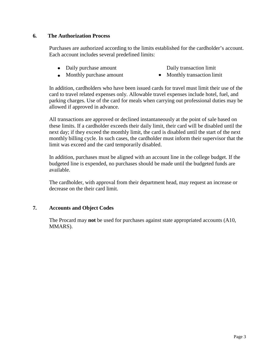#### <span id="page-4-0"></span>**6. The Authorization Process**

Purchases are authorized according to the limits established for the cardholder's account. Each account includes several predefined limits:

- Daily purchase amount Daily transaction limit
- 
- Monthly purchase amount Monthly transaction limit
- 

In addition, cardholders who have been issued cards for travel must limit their use of the card to travel related expenses only. Allowable travel expenses include hotel, fuel, and parking charges. Use of the card for meals when carrying out professional duties may be allowed if approved in advance.

All transactions are approved or declined instantaneously at the point of sale based on these limits. If a cardholder exceeds their daily limit, their card will be disabled until the next day; if they exceed the monthly limit, the card is disabled until the start of the next monthly billing cycle. In such cases, the cardholder must inform their supervisor that the limit was exceed and the card temporarily disabled.

In addition, purchases must be aligned with an account line in the college budget. If the budgeted line is expended, no purchases should be made until the budgeted funds are available.

The cardholder, with approval from their department head, may request an increase or decrease on the their card limit.

#### <span id="page-4-1"></span>**7. Accounts and Object Codes**

The Procard may **not** be used for purchases against state appropriated accounts (A10, MMARS).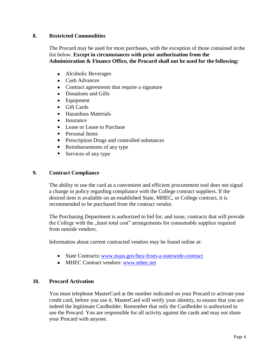#### <span id="page-5-0"></span>**8. Restricted Commodities**

The Procard may be used for most purchases, with the exception of those contained in the list below. **Except in circumstances with prior authorization from the Administration & Finance Office, the Procard shall not be used for the following:**

- Alcoholic Beverages
- Cash Advances
- Contract agreements that require a signature
- Donations and Gifts
- Equipment
- Gift Cards
- Hazardous Materials
- Insurance
- Lease or Lease to Purchase
- Personal Items
- Prescription Drugs and controlled substances
- Reimbursements of any type
- $\bullet$ Services of any type

#### <span id="page-5-1"></span>**9. Contract Compliance**

The ability to use the card as a convenient and efficient procurement tool does not signal a change in policy regarding compliance with the College contract suppliers. If the desired item is available on an established State, MHEC, or College contract, it is recommended to be purchased from the contract vendor.

The Purchasing Department is authorized to bid for, and issue, contracts that will provide the College with the "least total cost" arrangements for consumable supplies required from outside vendors.

Information about current contracted vendors may be found online at:

- State Contracts: www.mass.gov/buy-from-a-statewide-contract
- MHEC Contract vendors: [www.mhec.net](http://www.mhec.net/)

#### <span id="page-5-2"></span>**10. Procard Activation**

You must telephone MasterCard at the number indicated on your Procard to activate your credit card, before you use it. MasterCard will verify your identity, to ensure that you are indeed the legitimate Cardholder. Remember that only the Cardholder is authorized to use the Procard. You are responsible for all activity against the cards and may not share your Procard with anyone.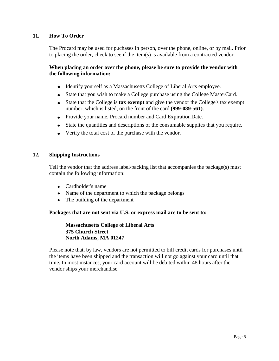#### <span id="page-6-0"></span>**11. How To Order**

The Procard may be used for puchases in person, over the phone, online, or by mail. Prior to placing the order, check to see if the item(s) is available from a contracted vendor.

#### **When placing an order over the phone, please be sure to provide the vendor with the following information:**

- Identify yourself as a Massachusetts College of Liberal Arts employee.
- State that you wish to make a College purchase using the College MasterCard.  $\bullet$
- State that the College is **tax exempt** and give the vendor the College's tax exempt number, which is listed, on the front of the card **(999-089-561)**.
- Provide your name, Procard number and Card ExpirationDate.
- State the quantities and descriptions of the consumable supplies that you require.
- Verify the total cost of the purchase with the vendor.

#### <span id="page-6-1"></span>**12. Shipping Instructions**

Tell the vendor that the address label/packing list that accompanies the package(s) must contain the following information:

- Cardholder's name
- Name of the department to which the package belongs
- The building of the department

#### **Packages that are not sent via U.S. or express mail are to be sent to:**

#### **Massachusetts College of Liberal Arts 375 Church Street North Adams, MA 01247**

Please note that, by law, vendors are not permitted to bill credit cards for purchases until the items have been shipped and the transaction will not go against your card until that time. In most instances, your card account will be debited within 48 hours after the vendor ships your merchandise.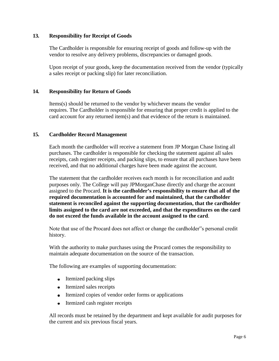#### <span id="page-7-0"></span>**13. Responsibility for Receipt of Goods**

The Cardholder is responsible for ensuring receipt of goods and follow-up with the vendor to resolve any delivery problems, discrepancies or damaged goods.

Upon receipt of your goods, keep the documentation received from the vendor (typically a sales receipt or packing slip) for later reconciliation.

#### **14. Responsibility for Return of Goods**

Items(s) should be returned to the vendor by whichever means the vendor requires. The Cardholder is responsible for ensuring that proper credit is applied to the card account for any returned item(s) and that evidence of the return is maintained.

#### <span id="page-7-1"></span>**15. Cardholder Record Management**

Each month the cardholder will receive a statement from JP Morgan Chase listing all purchases. The cardholder is responsible for checking the statement against all sales receipts, cash register receipts, and packing slips, to ensure that all purchases have been received, and that no additional charges have been made against the account.

The statement that the cardholder receives each month is for reconciliation and audit purposes only. The College will pay JPMorganChase directly and charge the account assigned to the Procard. **It is the cardholder's responsibility to ensure that all of the required documentation is accounted for and maintained, that the cardholder statement is reconciled against the supporting documentation, that the cardholder limits assigned to the card are not exceeded, and that the expenditures on the card do not exceed the funds available in the account assigned to the card**.

Note that use of the Procard does not affect or change the cardholder"s personal credit history.

With the authority to make purchases using the Procard comes the responsibility to maintain adequate documentation on the source of the transaction.

The following are examples of supporting documentation:

- Itemized packing slips
- Itemized sales receipts
- Itemized copies of vendor order forms or applications
- Itemized cash register receipts

All records must be retained by the department and kept available for audit purposes for the current and six previous fiscal years.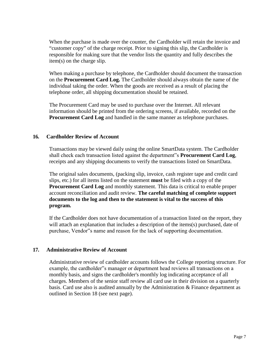When the purchase is made over the counter, the Cardholder will retain the invoice and "customer copy" of the charge receipt. Prior to signing this slip, the Cardholder is responsible for making sure that the vendor lists the quantity and fully describes the item(s) on the charge slip.

When making a purchase by telephone, the Cardholder should document the transaction on the **Procurement Card Log.** The Cardholder should always obtain the name of the individual taking the order. When the goods are received as a result of placing the telephone order, all shipping documentation should be retained.

The Procurement Card may be used to purchase over the Internet. All relevant information should be printed from the ordering screens, if available, recorded on the **Procurement Card Log** and handled in the same manner as telephone purchases.

#### <span id="page-8-0"></span>**16. Cardholder Review of Account**

Transactions may be viewed daily using the online SmartData system. The Cardholder shall check each transaction listed against the department"s **Procurement Card Log**, receipts and any shipping documents to verify the transactions listed on SmartData.

The original sales documents, (packing slip, invoice, cash register tape and credit card slips, etc.) for all items listed on the statement **must** be filed with a copy of the **Procurement Card Log** and monthly statement. This data is critical to enable proper account reconciliation and audit review. **The careful matching of complete support documents to the log and then to the statement is vital to the success of this program.**

If the Cardholder does not have documentation of a transaction listed on the report, they will attach an explanation that includes a description of the items(s) purchased, date of purchase, Vendor"s name and reason for the lack of supporting documentation.

#### <span id="page-8-1"></span>**17. Administrative Review of Account**

Administrative review of cardholder accounts follows the College reporting structure. For example, the cardholder"s manager or department head reviews all transactions on a monthly basis, and signs the cardholder's monthly log indicating acceptance of all charges. Members of the senior staff review all card use in their division on a quarterly basis. Card use also is audited annually by the Administration & Finance department as outlined in Section 18 (see next page).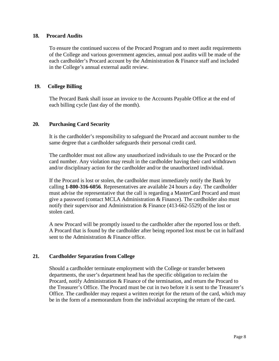#### <span id="page-9-0"></span>**18. Procard Audits**

To ensure the continued success of the Procard Program and to meet audit requirements of the College and various government agencies, annual post audits will be made of the each cardholder's Procard account by the Administration & Finance staff and included in the College's annual external audit review.

#### <span id="page-9-1"></span>**19. College Billing**

The Procard Bank shall issue an invoice to the Accounts Payable Office at the end of each billing cycle (last day of the month).

#### <span id="page-9-2"></span>**20. Purchasing Card Security**

It is the cardholder's responsibility to safeguard the Procard and account number to the same degree that a cardholder safeguards their personal credit card.

The cardholder must not allow any unauthorized individuals to use the Procard or the card number. Any violation may result in the cardholder having their card withdrawn and/or disciplinary action for the cardholder and/or the unauthorized individual.

If the Procard is lost or stolen, the cardholder must immediately notify the Bank by calling **1-800-316-6056**. Representatives are available 24 hours a day. The cardholder must advise the representative that the call is regarding a MasterCard Procard and must give a password (contact MCLA Administration & Finance). The cardholder also must notify their supervisor and Administration & Finance (413-662-5529) of the lost or stolen card.

A new Procard will be promptly issued to the cardholder after the reported loss or theft. A Procard that is found by the cardholder after being reported lost must be cut in halfand sent to the Administration & Finance office.

#### <span id="page-9-3"></span>**21. Cardholder Separation from College**

Should a cardholder terminate employment with the College or transfer between departments, the user's department head has the specific obligation to reclaim the Procard, notify Administration & Finance of the termination, and return the Procard to the Treasurer's Office. The Procard must be cut in two before it is sent to the Treasurer's Office. The cardholder may request a written receipt for the return of the card, which may be in the form of a memorandum from the individual accepting the return of the card.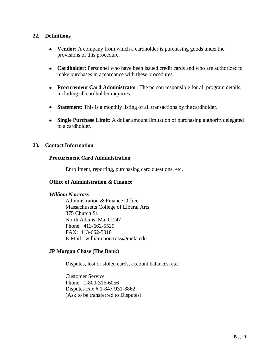#### <span id="page-10-0"></span>**22. Definitions**

- **Vendor:** A company from which a cardholder is purchasing goods under the provisions of this procedure.
- **Cardholder**: Personnel who have been issued credit cards and who are authorized to make purchases in accordance with these procedures.
- **Procurement Card Administrator**: The person responsible for all program details, including all cardholder inquiries.
- **Statement**: This is a monthly listing of all transactions by the cardholder.
- **Single Purchase Limit**: A dollar amount limitation of purchasing authoritydelegated to a cardholder.

#### <span id="page-10-1"></span>**23. Contact Information**

#### **Procurement Card Administration**

Enrollment, reporting, purchasing card questions, etc.

#### **Office of Administration & Finance**

#### *William Norcross*

Administration & Finance Office Massachusetts College of Liberal Arts 375 Church St. North Adams, Ma. 01247 Phone: 413-662-5529 FAX: 413-662-5010 E-Mail: [william.norcross@mcla.edu](mailto:l.brown@mcla.edu)

#### **JP Morgan Chase (The Bank)**

Disputes, lost or stolen cards, account balances, etc.

Customer Service Phone: 1-800-316-6056 Disputes Fax # 1-847-931-8862 (Ask to be transferred to Disputes)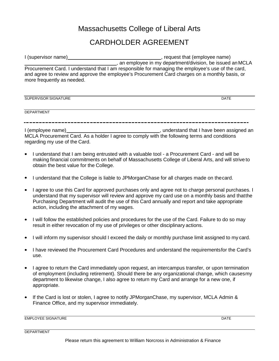## Massachusetts College of Liberal Arts

## CARDHOLDER AGREEMENT

I (supervisor name) , request that (employee name) , an employee in my department/division, be issued an MCLA Procurement Card. I understand that I am responsible for managing the employee's use of the card, and agree to review and approve the employee's Procurement Card charges on a monthly basis, or more frequently as needed.

SUPERVISOR SIGNATURE DATE DATE

#### **DEPARTMENT**

I (employee name) Manual Communication of the University of the University of the University of the University of the University of the University of the University of the University of the University of the University of MCLA Procurement Card. As a holder I agree to comply with the following terms and conditions regarding my use of the Card.

- $\bullet$  I understand that I am being entrusted with a valuable tool - a Procurement Card - and will be making financial commitments on behalf of Massachusetts College of Liberal Arts, and will strive to obtain the best value for the College.
- I understand that the College is liable to JPMorganChase for all charges made on thecard.  $\bullet$
- I agree to use this Card for approved purchases only and agree not to charge personal purchases. I understand that my supervisor will review and approve my card use on a monthly basis and thatthe Purchasing Department will audit the use of this Card annually and report and take appropriate action, including the attachment of my wages.
- I will follow the established policies and procedures for the use of the Card. Failure to do so may  $\bullet$ result in either revocation of my use of privileges or other disciplinary actions.
- I will inform my supervisor should I exceed the daily or monthly purchase limit assigned to my card.
- I have reviewed the Procurement Card Procedures and understand the requirementsfor the Card's  $\bullet$ use.
- $\bullet$  I agree to return the Card immediately upon request, an intercampus transfer, or upon termination of employment (including retirement). Should there be any organizational change, which causesmy department to likewise change, I also agree to return my Card and arrange for a new one, if appropriate.
- If the Card is lost or stolen, I agree to notify JPMorganChase, my supervisor, MCLA Admin &  $\bullet$ Finance Office, and my supervisor immediately.

EMPLOYEE SIGNATURE DATE AND CONTROLLER CONTROL CONTROL CONTROLLER CONTROLLER CONTROLLER CONTROLLER CONTROLLER CONTROLLER CONTROLLER CONTROLLER CONTROLLER CONTROLLER CONTROLLER CONTROLLER CONTROLLER CONTROLLER CONTROLLER CO

**DEPARTMENT**